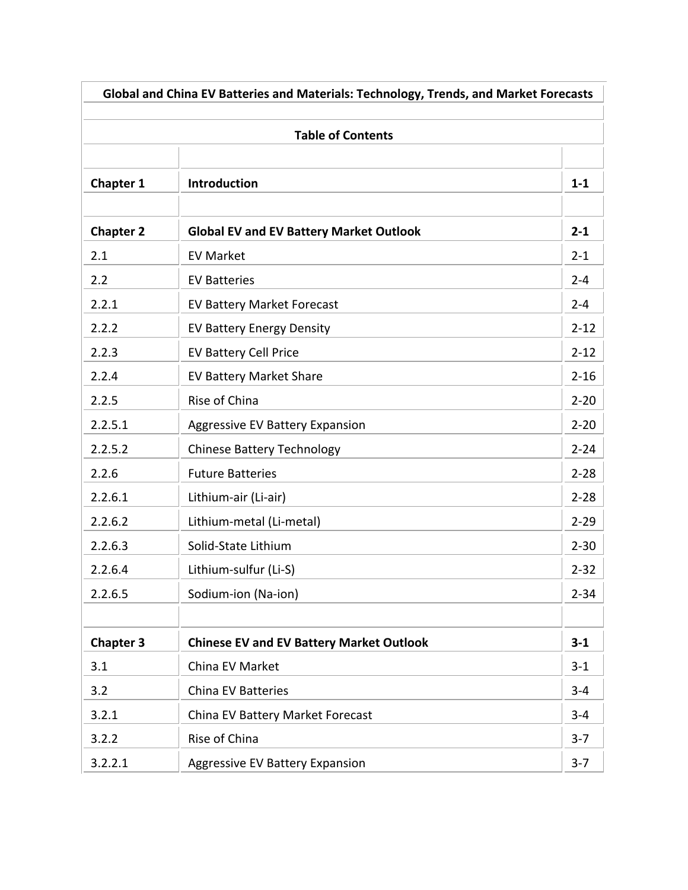| Global and China EV Batteries and Materials: Technology, Trends, and Market Forecasts<br><b>Table of Contents</b> |                                                 |          |
|-------------------------------------------------------------------------------------------------------------------|-------------------------------------------------|----------|
|                                                                                                                   |                                                 |          |
| <b>Chapter 1</b>                                                                                                  | <b>Introduction</b>                             | $1 - 1$  |
| <b>Chapter 2</b>                                                                                                  | <b>Global EV and EV Battery Market Outlook</b>  | $2 - 1$  |
| 2.1                                                                                                               | <b>EV Market</b>                                | $2 - 1$  |
| 2.2                                                                                                               | <b>EV Batteries</b>                             | $2 - 4$  |
| 2.2.1                                                                                                             | <b>EV Battery Market Forecast</b>               | $2 - 4$  |
| 2.2.2                                                                                                             | <b>EV Battery Energy Density</b>                | $2 - 12$ |
| 2.2.3                                                                                                             | <b>EV Battery Cell Price</b>                    | $2 - 12$ |
| 2.2.4                                                                                                             | <b>EV Battery Market Share</b>                  | $2 - 16$ |
| 2.2.5                                                                                                             | Rise of China                                   | $2 - 20$ |
| 2.2.5.1                                                                                                           | <b>Aggressive EV Battery Expansion</b>          | $2 - 20$ |
| 2.2.5.2                                                                                                           | <b>Chinese Battery Technology</b>               | $2 - 24$ |
| 2.2.6                                                                                                             | <b>Future Batteries</b>                         | $2 - 28$ |
| 2.2.6.1                                                                                                           | Lithium-air (Li-air)                            | $2 - 28$ |
| 2.2.6.2                                                                                                           | Lithium-metal (Li-metal)                        | $2 - 29$ |
| 2.2.6.3                                                                                                           | Solid-State Lithium                             | $2 - 30$ |
| 2.2.6.4                                                                                                           | Lithium-sulfur (Li-S)                           | $2 - 32$ |
| 2.2.6.5                                                                                                           | Sodium-ion (Na-ion)                             | $2 - 34$ |
|                                                                                                                   |                                                 |          |
| <b>Chapter 3</b>                                                                                                  | <b>Chinese EV and EV Battery Market Outlook</b> | $3 - 1$  |
| 3.1                                                                                                               | China EV Market                                 | $3 - 1$  |
| 3.2                                                                                                               | <b>China EV Batteries</b>                       | $3 - 4$  |
| 3.2.1                                                                                                             | China EV Battery Market Forecast                | $3 - 4$  |
| 3.2.2                                                                                                             | Rise of China                                   | $3 - 7$  |
| 3.2.2.1                                                                                                           | <b>Aggressive EV Battery Expansion</b>          | $3 - 7$  |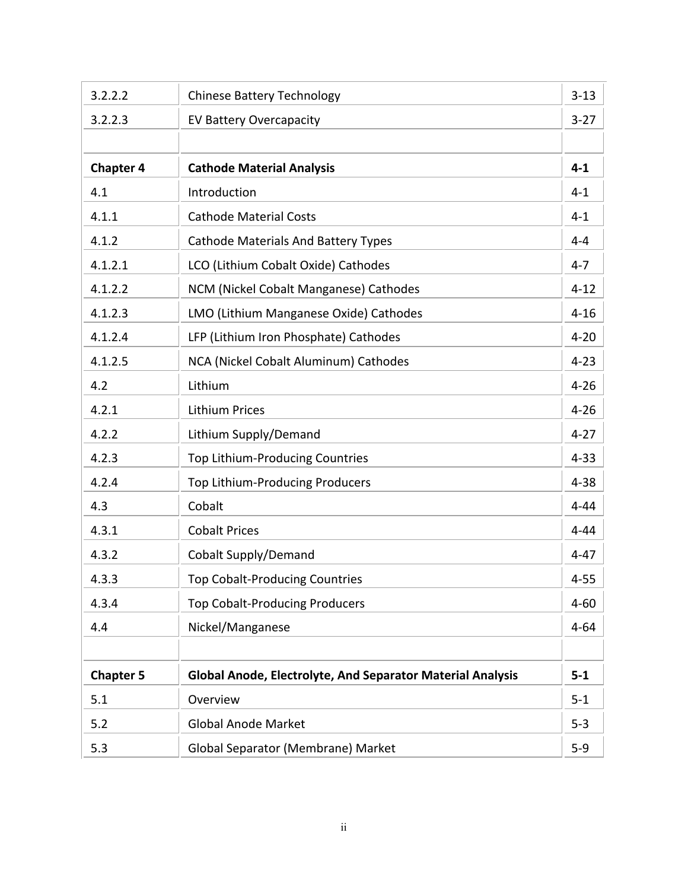| 3.2.2.2          | <b>Chinese Battery Technology</b>                                 | $3 - 13$ |
|------------------|-------------------------------------------------------------------|----------|
| 3.2.2.3          | <b>EV Battery Overcapacity</b>                                    | $3 - 27$ |
|                  |                                                                   |          |
| <b>Chapter 4</b> | <b>Cathode Material Analysis</b>                                  | $4 - 1$  |
| 4.1              | Introduction                                                      | $4 - 1$  |
| 4.1.1            | <b>Cathode Material Costs</b>                                     | $4 - 1$  |
| 4.1.2            | <b>Cathode Materials And Battery Types</b>                        | $4 - 4$  |
| 4.1.2.1          | LCO (Lithium Cobalt Oxide) Cathodes                               | $4 - 7$  |
| 4.1.2.2          | NCM (Nickel Cobalt Manganese) Cathodes                            | $4 - 12$ |
| 4.1.2.3          | LMO (Lithium Manganese Oxide) Cathodes                            | $4 - 16$ |
| 4.1.2.4          | LFP (Lithium Iron Phosphate) Cathodes                             | $4 - 20$ |
| 4.1.2.5          | NCA (Nickel Cobalt Aluminum) Cathodes                             | $4 - 23$ |
| 4.2              | Lithium                                                           | $4 - 26$ |
| 4.2.1            | <b>Lithium Prices</b>                                             | $4 - 26$ |
| 4.2.2            | Lithium Supply/Demand                                             | $4 - 27$ |
| 4.2.3            | Top Lithium-Producing Countries                                   | $4 - 33$ |
| 4.2.4            | Top Lithium-Producing Producers                                   | $4 - 38$ |
| 4.3              | Cobalt                                                            | $4 - 44$ |
| 4.3.1            | <b>Cobalt Prices</b>                                              | $4 - 44$ |
| 4.3.2            | <b>Cobalt Supply/Demand</b>                                       | $4 - 47$ |
| 4.3.3            | <b>Top Cobalt-Producing Countries</b>                             | $4 - 55$ |
| 4.3.4            | <b>Top Cobalt-Producing Producers</b>                             | $4 - 60$ |
| 4.4              | Nickel/Manganese                                                  | $4 - 64$ |
|                  |                                                                   |          |
| <b>Chapter 5</b> | <b>Global Anode, Electrolyte, And Separator Material Analysis</b> | $5 - 1$  |
| 5.1              | Overview                                                          | $5 - 1$  |
| 5.2              | <b>Global Anode Market</b>                                        | $5-3$    |
| 5.3              | Global Separator (Membrane) Market                                | $5-9$    |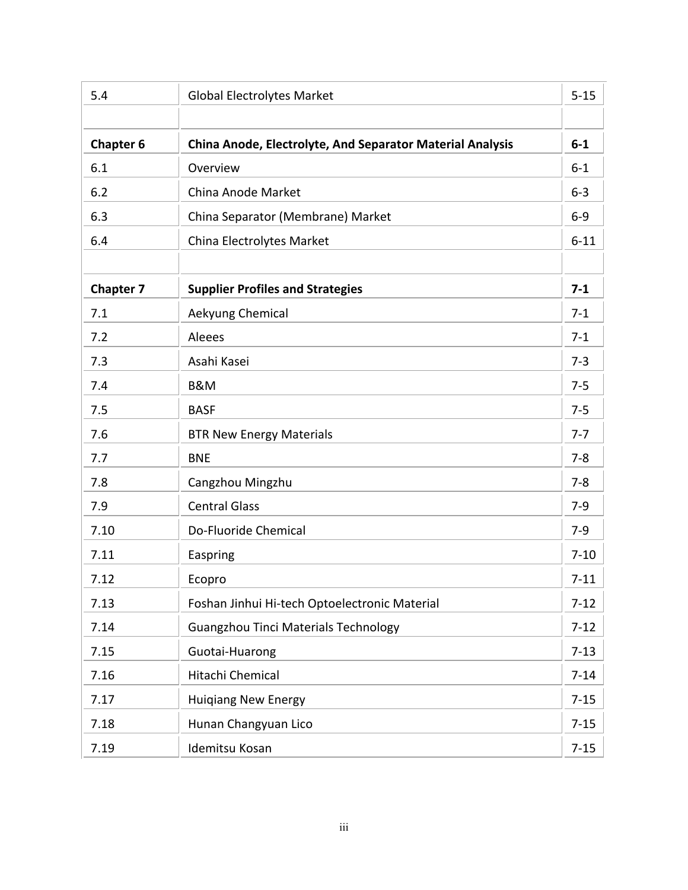| 5.4              | <b>Global Electrolytes Market</b>                                | $5 - 15$ |
|------------------|------------------------------------------------------------------|----------|
|                  |                                                                  |          |
| <b>Chapter 6</b> | <b>China Anode, Electrolyte, And Separator Material Analysis</b> | $6-1$    |
| 6.1              | Overview                                                         | $6 - 1$  |
| 6.2              | China Anode Market                                               | $6 - 3$  |
| 6.3              | China Separator (Membrane) Market                                | $6-9$    |
| 6.4              | China Electrolytes Market                                        | $6 - 11$ |
|                  |                                                                  |          |
| <b>Chapter 7</b> | <b>Supplier Profiles and Strategies</b>                          | $7 - 1$  |
| 7.1              | Aekyung Chemical                                                 | $7-1$    |
| 7.2              | Aleees                                                           | $7-1$    |
| 7.3              | Asahi Kasei                                                      | $7 - 3$  |
| 7.4              | <b>B&amp;M</b>                                                   | $7 - 5$  |
| 7.5              | <b>BASF</b>                                                      | $7 - 5$  |
| 7.6              | <b>BTR New Energy Materials</b>                                  | $7 - 7$  |
| 7.7              | <b>BNE</b>                                                       | $7 - 8$  |
| 7.8              | Cangzhou Mingzhu                                                 | $7 - 8$  |
| 7.9              | <b>Central Glass</b>                                             | $7-9$    |
| 7.10             | Do-Fluoride Chemical                                             | $7-9$    |
| 7.11             | Easpring                                                         | $7 - 10$ |
| 7.12             | Ecopro                                                           | $7 - 11$ |
| 7.13             | Foshan Jinhui Hi-tech Optoelectronic Material                    | $7 - 12$ |
| 7.14             | Guangzhou Tinci Materials Technology                             | $7 - 12$ |
| 7.15             | Guotai-Huarong                                                   | $7 - 13$ |
| 7.16             | Hitachi Chemical                                                 | $7 - 14$ |
| 7.17             | Huiqiang New Energy                                              | $7 - 15$ |
| 7.18             | Hunan Changyuan Lico                                             | $7 - 15$ |
| 7.19             | Idemitsu Kosan                                                   | $7 - 15$ |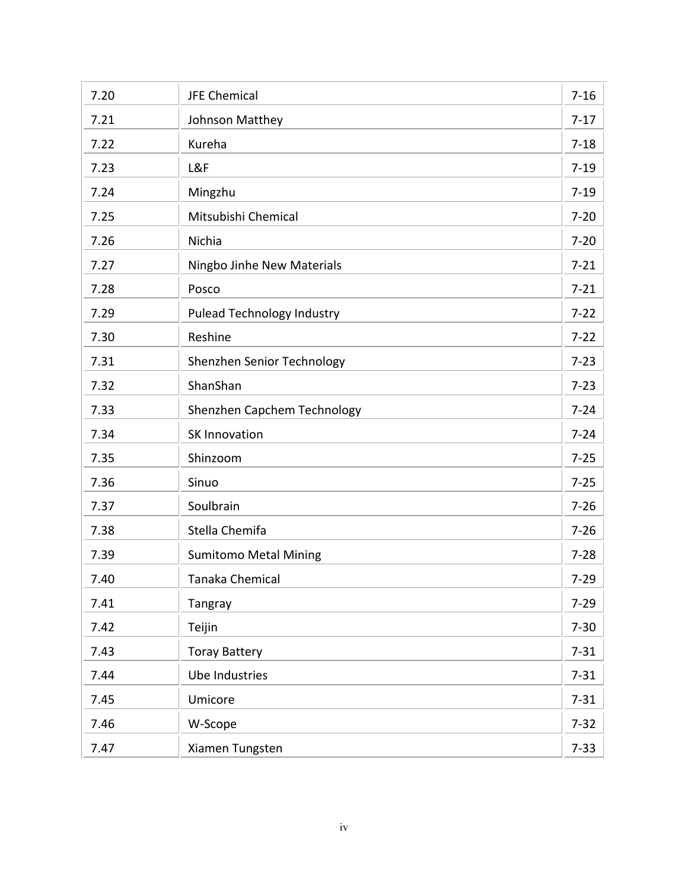| 7.20 | <b>JFE Chemical</b>               | $7 - 16$ |
|------|-----------------------------------|----------|
| 7.21 | Johnson Matthey                   | $7-17$   |
| 7.22 | Kureha                            | $7 - 18$ |
| 7.23 | L&F                               | $7 - 19$ |
| 7.24 | Mingzhu                           | $7 - 19$ |
| 7.25 | Mitsubishi Chemical               | $7 - 20$ |
| 7.26 | Nichia                            | $7 - 20$ |
| 7.27 | Ningbo Jinhe New Materials        | $7 - 21$ |
| 7.28 | Posco                             | $7 - 21$ |
| 7.29 | <b>Pulead Technology Industry</b> | $7 - 22$ |
| 7.30 | Reshine                           | $7 - 22$ |
| 7.31 | Shenzhen Senior Technology        | $7 - 23$ |
| 7.32 | ShanShan                          | $7 - 23$ |
| 7.33 | Shenzhen Capchem Technology       | $7 - 24$ |
| 7.34 | <b>SK Innovation</b>              | $7 - 24$ |
| 7.35 | Shinzoom                          | $7 - 25$ |
| 7.36 | Sinuo                             | $7 - 25$ |
| 7.37 | Soulbrain                         | $7 - 26$ |
| 7.38 | Stella Chemifa                    | $7 - 26$ |
| 7.39 | <b>Sumitomo Metal Mining</b>      | $7 - 28$ |
| 7.40 | <b>Tanaka Chemical</b>            | $7 - 29$ |
| 7.41 | Tangray                           | $7 - 29$ |
| 7.42 | Teijin                            | $7 - 30$ |
| 7.43 | <b>Toray Battery</b>              | $7 - 31$ |
| 7.44 | <b>Ube Industries</b>             | $7 - 31$ |
| 7.45 | Umicore                           | $7 - 31$ |
| 7.46 | W-Scope                           | $7 - 32$ |
| 7.47 | Xiamen Tungsten                   | $7 - 33$ |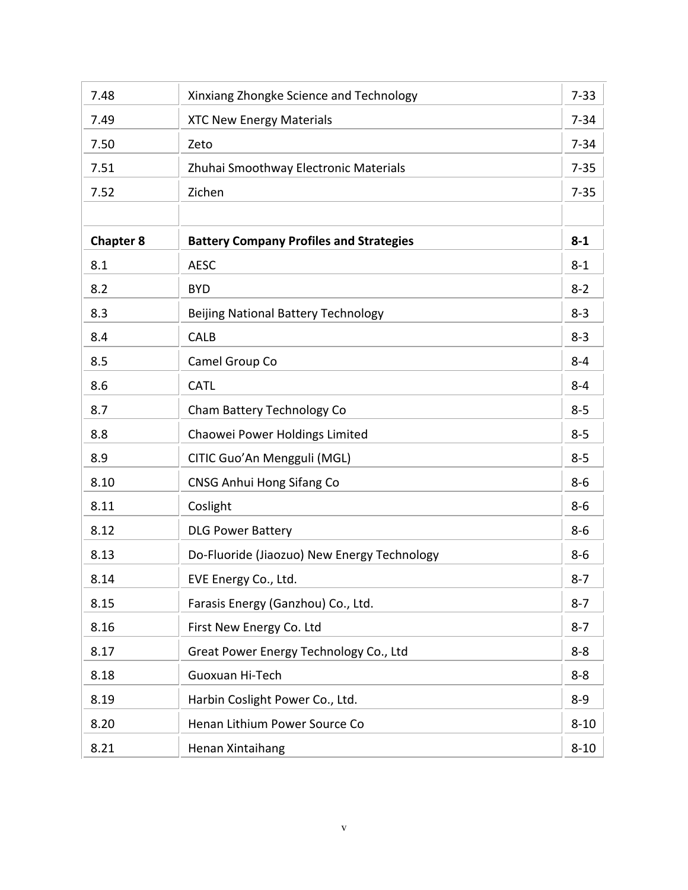| 7.48             | Xinxiang Zhongke Science and Technology        | $7 - 33$ |
|------------------|------------------------------------------------|----------|
| 7.49             | <b>XTC New Energy Materials</b>                | $7 - 34$ |
| 7.50             | Zeto                                           | $7 - 34$ |
| 7.51             | Zhuhai Smoothway Electronic Materials          | $7 - 35$ |
| 7.52             | Zichen                                         | $7 - 35$ |
|                  |                                                |          |
| <b>Chapter 8</b> | <b>Battery Company Profiles and Strategies</b> | $8-1$    |
| 8.1              | <b>AESC</b>                                    | $8 - 1$  |
| 8.2              | <b>BYD</b>                                     | $8 - 2$  |
| 8.3              | Beijing National Battery Technology            | $8 - 3$  |
| 8.4              | <b>CALB</b>                                    | $8 - 3$  |
| 8.5              | Camel Group Co                                 | $8 - 4$  |
| 8.6              | <b>CATL</b>                                    | $8 - 4$  |
| 8.7              | Cham Battery Technology Co                     | $8 - 5$  |
| 8.8              | Chaowei Power Holdings Limited                 | $8 - 5$  |
| 8.9              | CITIC Guo'An Mengguli (MGL)                    | $8 - 5$  |
| 8.10             | CNSG Anhui Hong Sifang Co                      | $8 - 6$  |
| 8.11             | Coslight                                       | $8-6$    |
| 8.12             | <b>DLG Power Battery</b>                       | $8-6$    |
| 8.13             | Do-Fluoride (Jiaozuo) New Energy Technology    | $8-6$    |
| 8.14             | EVE Energy Co., Ltd.                           | $8 - 7$  |
| 8.15             | Farasis Energy (Ganzhou) Co., Ltd.             | $8 - 7$  |
| 8.16             | First New Energy Co. Ltd                       | $8 - 7$  |
| 8.17             | Great Power Energy Technology Co., Ltd         | $8 - 8$  |
| 8.18             | Guoxuan Hi-Tech                                | $8 - 8$  |
| 8.19             | Harbin Coslight Power Co., Ltd.                | $8 - 9$  |
| 8.20             | Henan Lithium Power Source Co                  | $8 - 10$ |
| 8.21             | Henan Xintaihang                               | $8 - 10$ |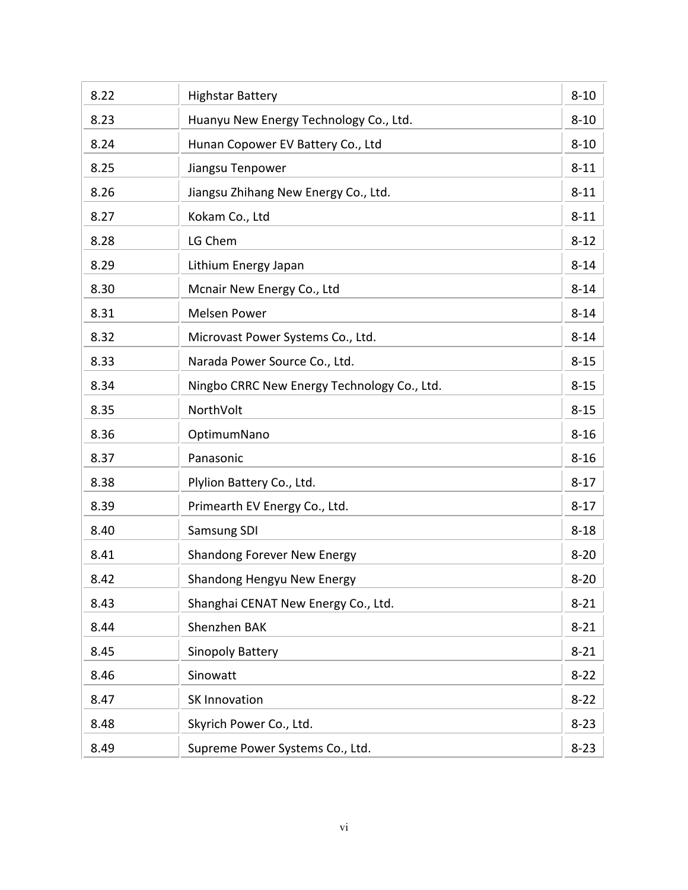| 8.22 | <b>Highstar Battery</b>                     | $8 - 10$ |
|------|---------------------------------------------|----------|
| 8.23 | Huanyu New Energy Technology Co., Ltd.      | $8 - 10$ |
| 8.24 | Hunan Copower EV Battery Co., Ltd           | $8 - 10$ |
| 8.25 | Jiangsu Tenpower                            | $8 - 11$ |
| 8.26 | Jiangsu Zhihang New Energy Co., Ltd.        | $8 - 11$ |
| 8.27 | Kokam Co., Ltd                              | $8 - 11$ |
| 8.28 | LG Chem                                     | $8 - 12$ |
| 8.29 | Lithium Energy Japan                        | $8 - 14$ |
| 8.30 | Mcnair New Energy Co., Ltd                  | $8 - 14$ |
| 8.31 | <b>Melsen Power</b>                         | $8 - 14$ |
| 8.32 | Microvast Power Systems Co., Ltd.           | $8 - 14$ |
| 8.33 | Narada Power Source Co., Ltd.               | $8 - 15$ |
| 8.34 | Ningbo CRRC New Energy Technology Co., Ltd. | $8 - 15$ |
| 8.35 | NorthVolt                                   | $8 - 15$ |
| 8.36 | OptimumNano                                 | $8 - 16$ |
| 8.37 | Panasonic                                   | $8 - 16$ |
| 8.38 | Plylion Battery Co., Ltd.                   | $8 - 17$ |
| 8.39 | Primearth EV Energy Co., Ltd.               | $8 - 17$ |
| 8.40 | Samsung SDI                                 | $8 - 18$ |
| 8.41 | Shandong Forever New Energy                 | $8 - 20$ |
| 8.42 | Shandong Hengyu New Energy                  | $8 - 20$ |
| 8.43 | Shanghai CENAT New Energy Co., Ltd.         | $8 - 21$ |
| 8.44 | Shenzhen BAK                                | $8 - 21$ |
| 8.45 | <b>Sinopoly Battery</b>                     | $8 - 21$ |
| 8.46 | Sinowatt                                    | $8 - 22$ |
| 8.47 | <b>SK Innovation</b>                        | $8 - 22$ |
| 8.48 | Skyrich Power Co., Ltd.                     | $8 - 23$ |
| 8.49 | Supreme Power Systems Co., Ltd.             | $8 - 23$ |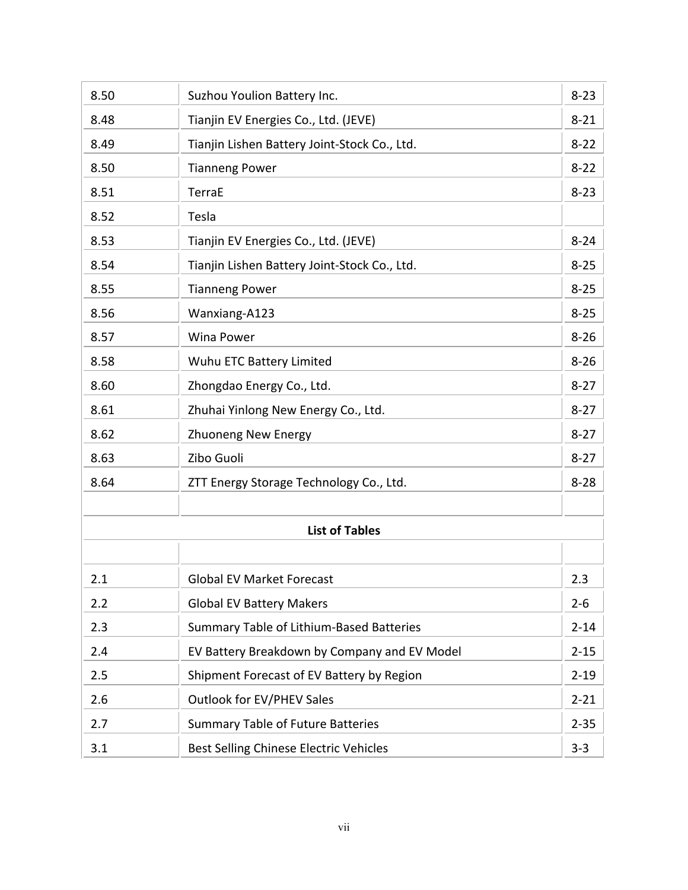| 8.50 | Suzhou Youlion Battery Inc.                  | $8 - 23$ |
|------|----------------------------------------------|----------|
| 8.48 | Tianjin EV Energies Co., Ltd. (JEVE)         | $8 - 21$ |
| 8.49 | Tianjin Lishen Battery Joint-Stock Co., Ltd. | $8 - 22$ |
| 8.50 | <b>Tianneng Power</b>                        | $8 - 22$ |
| 8.51 | <b>TerraE</b>                                | $8 - 23$ |
| 8.52 | Tesla                                        |          |
| 8.53 | Tianjin EV Energies Co., Ltd. (JEVE)         | $8 - 24$ |
| 8.54 | Tianjin Lishen Battery Joint-Stock Co., Ltd. | $8 - 25$ |
| 8.55 | <b>Tianneng Power</b>                        | $8 - 25$ |
| 8.56 | Wanxiang-A123                                | $8 - 25$ |
| 8.57 | <b>Wina Power</b>                            | $8 - 26$ |
| 8.58 | Wuhu ETC Battery Limited                     | $8 - 26$ |
| 8.60 | Zhongdao Energy Co., Ltd.                    | $8 - 27$ |
| 8.61 | Zhuhai Yinlong New Energy Co., Ltd.          | $8 - 27$ |
| 8.62 | <b>Zhuoneng New Energy</b>                   | $8 - 27$ |
| 8.63 | Zibo Guoli                                   | $8 - 27$ |
| 8.64 | ZTT Energy Storage Technology Co., Ltd.      | $8 - 28$ |
|      | <b>List of Tables</b>                        |          |
| 2.1  | <b>Global EV Market Forecast</b>             | 2.3      |
| 2.2  | <b>Global EV Battery Makers</b>              | $2 - 6$  |
| 2.3  | Summary Table of Lithium-Based Batteries     | $2 - 14$ |
| 2.4  | EV Battery Breakdown by Company and EV Model | $2 - 15$ |
| 2.5  | Shipment Forecast of EV Battery by Region    | $2 - 19$ |
| 2.6  | <b>Outlook for EV/PHEV Sales</b>             | $2 - 21$ |
|      |                                              |          |
| 2.7  | <b>Summary Table of Future Batteries</b>     | $2 - 35$ |
| 3.1  | Best Selling Chinese Electric Vehicles       | $3-3$    |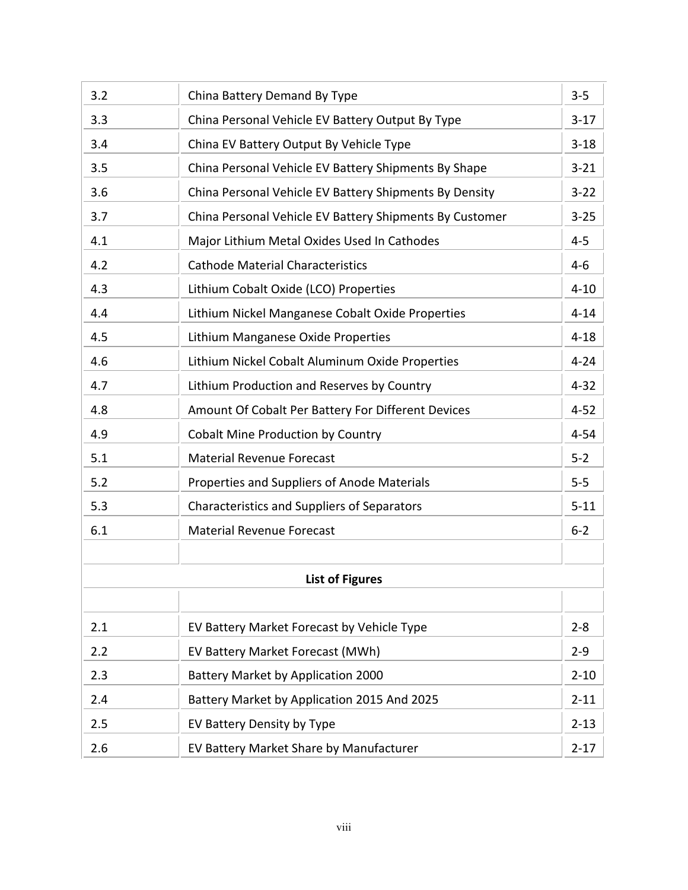| 3.2 | China Battery Demand By Type                            | $3 - 5$  |
|-----|---------------------------------------------------------|----------|
| 3.3 | China Personal Vehicle EV Battery Output By Type        | $3 - 17$ |
| 3.4 | China EV Battery Output By Vehicle Type                 | $3 - 18$ |
| 3.5 | China Personal Vehicle EV Battery Shipments By Shape    | $3 - 21$ |
| 3.6 | China Personal Vehicle EV Battery Shipments By Density  | $3 - 22$ |
| 3.7 | China Personal Vehicle EV Battery Shipments By Customer | $3 - 25$ |
| 4.1 | Major Lithium Metal Oxides Used In Cathodes             | $4 - 5$  |
| 4.2 | <b>Cathode Material Characteristics</b>                 | $4 - 6$  |
| 4.3 | Lithium Cobalt Oxide (LCO) Properties                   | $4 - 10$ |
| 4.4 | Lithium Nickel Manganese Cobalt Oxide Properties        | $4 - 14$ |
| 4.5 | Lithium Manganese Oxide Properties                      | $4 - 18$ |
| 4.6 | Lithium Nickel Cobalt Aluminum Oxide Properties         | $4 - 24$ |
| 4.7 | Lithium Production and Reserves by Country              | $4 - 32$ |
| 4.8 | Amount Of Cobalt Per Battery For Different Devices      | $4 - 52$ |
| 4.9 | <b>Cobalt Mine Production by Country</b>                | $4 - 54$ |
| 5.1 | <b>Material Revenue Forecast</b>                        | $5 - 2$  |
| 5.2 | Properties and Suppliers of Anode Materials             | $5-5$    |
| 5.3 | <b>Characteristics and Suppliers of Separators</b>      | $5 - 11$ |
| 6.1 | <b>Material Revenue Forecast</b>                        | $6 - 2$  |
|     |                                                         |          |
|     | <b>List of Figures</b>                                  |          |
|     |                                                         |          |
| 2.1 | EV Battery Market Forecast by Vehicle Type              | $2 - 8$  |
| 2.2 | EV Battery Market Forecast (MWh)                        | $2 - 9$  |
| 2.3 | <b>Battery Market by Application 2000</b>               | $2 - 10$ |
| 2.4 | Battery Market by Application 2015 And 2025             | $2 - 11$ |
| 2.5 | EV Battery Density by Type                              | $2 - 13$ |
| 2.6 | EV Battery Market Share by Manufacturer                 | $2 - 17$ |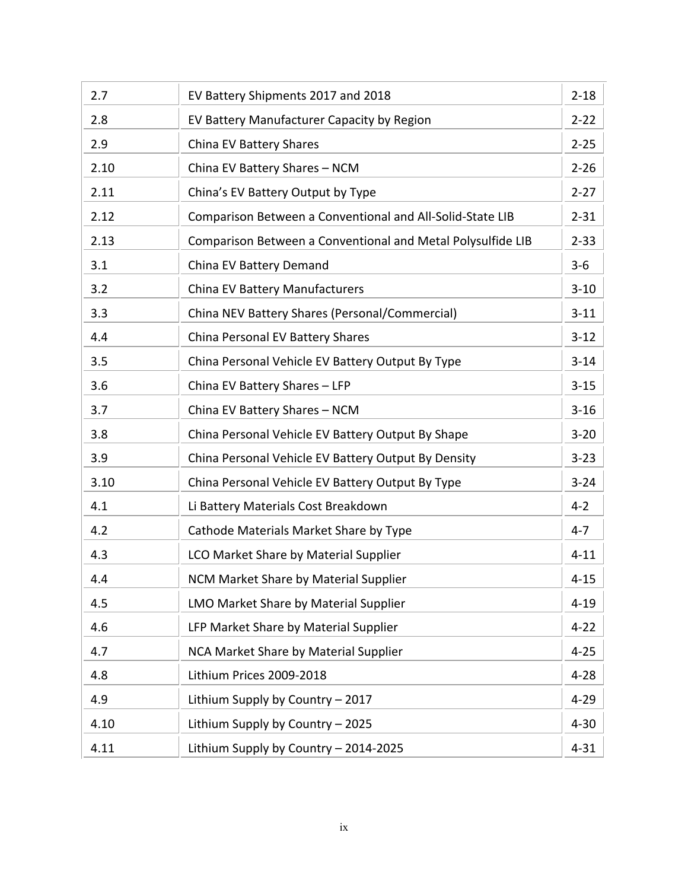| 2.7  | EV Battery Shipments 2017 and 2018                          | $2 - 18$ |
|------|-------------------------------------------------------------|----------|
| 2.8  | EV Battery Manufacturer Capacity by Region                  | $2 - 22$ |
| 2.9  | China EV Battery Shares                                     | $2 - 25$ |
| 2.10 | China EV Battery Shares - NCM                               | $2 - 26$ |
| 2.11 | China's EV Battery Output by Type                           | $2 - 27$ |
| 2.12 | Comparison Between a Conventional and All-Solid-State LIB   | $2 - 31$ |
| 2.13 | Comparison Between a Conventional and Metal Polysulfide LIB | $2 - 33$ |
| 3.1  | China EV Battery Demand                                     | $3 - 6$  |
| 3.2  | China EV Battery Manufacturers                              | $3 - 10$ |
| 3.3  | China NEV Battery Shares (Personal/Commercial)              | $3 - 11$ |
| 4.4  | China Personal EV Battery Shares                            | $3 - 12$ |
| 3.5  | China Personal Vehicle EV Battery Output By Type            | $3 - 14$ |
| 3.6  | China EV Battery Shares - LFP                               | $3 - 15$ |
| 3.7  | China EV Battery Shares - NCM                               | $3 - 16$ |
| 3.8  | China Personal Vehicle EV Battery Output By Shape           | $3 - 20$ |
| 3.9  | China Personal Vehicle EV Battery Output By Density         | $3 - 23$ |
| 3.10 | China Personal Vehicle EV Battery Output By Type            | $3 - 24$ |
| 4.1  | Li Battery Materials Cost Breakdown                         | $4 - 2$  |
| 4.2  | Cathode Materials Market Share by Type                      | $4 - 7$  |
| 4.3  | LCO Market Share by Material Supplier                       | $4 - 11$ |
| 4.4  | NCM Market Share by Material Supplier                       | $4 - 15$ |
| 4.5  | LMO Market Share by Material Supplier                       | $4 - 19$ |
| 4.6  | LFP Market Share by Material Supplier                       | $4 - 22$ |
| 4.7  | NCA Market Share by Material Supplier                       | $4 - 25$ |
| 4.8  | Lithium Prices 2009-2018                                    | $4 - 28$ |
| 4.9  | Lithium Supply by Country - 2017                            | $4 - 29$ |
| 4.10 | Lithium Supply by Country - 2025                            | $4 - 30$ |
| 4.11 | Lithium Supply by Country - 2014-2025                       | $4 - 31$ |